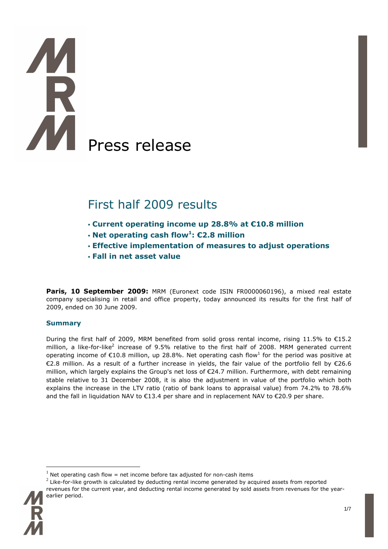# Press release

# First half 2009 results

- **Current operating income up 28.8% at €10.8 million**
- **Net operating cash flow<sup>1</sup> : €2.8 million**
- **Effective implementation of measures to adjust operations**
- **Fall in net asset value**

**Paris, 10 September 2009:** MRM (Euronext code ISIN FR0000060196), a mixed real estate company specialising in retail and office property, today announced its results for the first half of 2009, ended on 30 June 2009.

## **Summary**

During the first half of 2009, MRM benefited from solid gross rental income, rising 11.5% to €15.2 million, a like-for-like<sup>2</sup> increase of 9.5% relative to the first half of 2008. MRM generated current operating income of  $\epsilon$ 10.8 million, up 28.8%. Net operating cash flow<sup>1</sup> for the period was positive at €2.8 million. As a result of a further increase in yields, the fair value of the portfolio fell by €26.6 million, which largely explains the Group's net loss of €24.7 million. Furthermore, with debt remaining stable relative to 31 December 2008, it is also the adjustment in value of the portfolio which both explains the increase in the LTV ratio (ratio of bank loans to appraisal value) from 74.2% to 78.6% and the fall in liquidation NAV to  $\epsilon$ 13.4 per share and in replacement NAV to  $\epsilon$ 20.9 per share.

 $^2$  Like-for-like growth is calculated by deducting rental income generated by acquired assets from reported revenues for the current year, and deducting rental income generated by sold assets from revenues for the yearearlier period.



<sup>1</sup> Net operating cash flow  $=$  net income before tax adjusted for non-cash items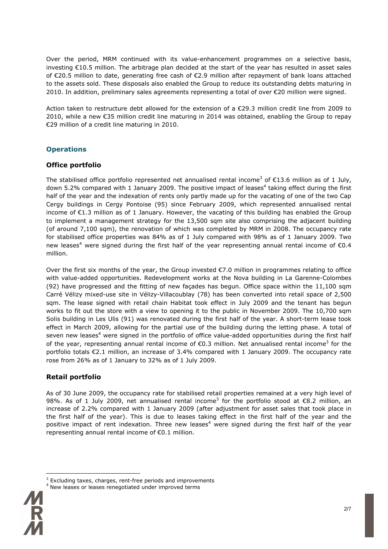Over the period, MRM continued with its value-enhancement programmes on a selective basis, investing €10.5 million. The arbitrage plan decided at the start of the year has resulted in asset sales of €20.5 million to date, generating free cash of €2.9 million after repayment of bank loans attached to the assets sold. These disposals also enabled the Group to reduce its outstanding debts maturing in 2010. In addition, preliminary sales agreements representing a total of over €20 million were signed.

Action taken to restructure debt allowed for the extension of a €29.3 million credit line from 2009 to 2010, while a new €35 million credit line maturing in 2014 was obtained, enabling the Group to repay €29 million of a credit line maturing in 2010.

## **Operations**

### **Office portfolio**

The stabilised office portfolio represented net annualised rental income<sup>3</sup> of €13.6 million as of 1 July, down 5.2% compared with 1 January 2009. The positive impact of leases<sup>4</sup> taking effect during the first half of the year and the indexation of rents only partly made up for the vacating of one of the two Cap Cergy buildings in Cergy Pontoise (95) since February 2009, which represented annualised rental income of €1.3 million as of 1 January. However, the vacating of this building has enabled the Group to implement a management strategy for the 13,500 sqm site also comprising the adjacent building (of around 7,100 sqm), the renovation of which was completed by MRM in 2008. The occupancy rate for stabilised office properties was 84% as of 1 July compared with 98% as of 1 January 2009. Two new leases<sup>4</sup> were signed during the first half of the year representing annual rental income of  $\epsilon$ 0.4 million.

Over the first six months of the year, the Group invested  $\epsilon$ 7.0 million in programmes relating to office with value-added opportunities. Redevelopment works at the Nova building in La Garenne-Colombes (92) have progressed and the fitting of new façades has begun. Office space within the 11,100 sqm Carré Vélizy mixed-use site in Vélizy-Villacoublay (78) has been converted into retail space of 2,500 sqm. The lease signed with retail chain Habitat took effect in July 2009 and the tenant has begun works to fit out the store with a view to opening it to the public in November 2009. The 10.700 sqm Solis building in Les Ulis (91) was renovated during the first half of the year. A short-term lease took effect in March 2009, allowing for the partial use of the building during the letting phase. A total of seven new leases<sup>4</sup> were signed in the portfolio of office value-added opportunities during the first half of the year, representing annual rental income of  $\epsilon$ 0.3 million. Net annualised rental income<sup>3</sup> for the portfolio totals €2.1 million, an increase of 3.4% compared with 1 January 2009. The occupancy rate rose from 26% as of 1 January to 32% as of 1 July 2009.

## **Retail portfolio**

As of 30 June 2009, the occupancy rate for stabilised retail properties remained at a very high level of 98%. As of 1 July 2009, net annualised rental income<sup>3</sup> for the portfolio stood at  $\epsilon$ 8.2 million, an increase of 2.2% compared with 1 January 2009 (after adjustment for asset sales that took place in the first half of the year). This is due to leases taking effect in the first half of the year and the positive impact of rent indexation. Three new leases 4 were signed during the first half of the year representing annual rental income of €0.1 million.

New leases or leases renegotiated under improved terms



 $3$  Excluding taxes, charges, rent-free periods and improvements<br> $4$  Naw langes ar langes renegatioted under improved terms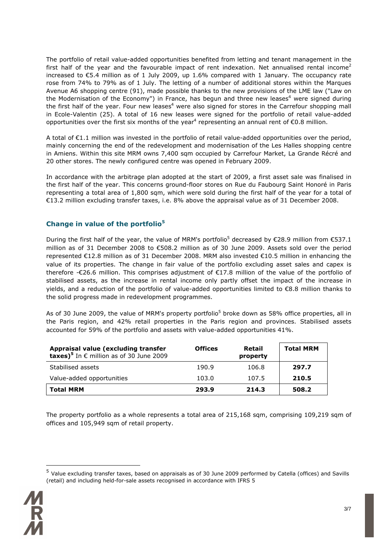The portfolio of retail value-added opportunities benefited from letting and tenant management in the first half of the year and the favourable impact of rent indexation. Net annualised rental income<sup>2</sup> increased to €5.4 million as of 1 July 2009, up 1.6% compared with 1 January. The occupancy rate rose from 74% to 79% as of 1 July. The letting of a number of additional stores within the Marques Avenue A6 shopping centre (91), made possible thanks to the new provisions of the LME law ("Law on the Modernisation of the Economy") in France, has begun and three new leases<sup>4</sup> were signed during the first half of the year. Four new leases<sup>4</sup> were also signed for stores in the Carrefour shopping mall in Ecole-Valentin (25). A total of 16 new leases were signed for the portfolio of retail value-added opportunities over the first six months of the year<sup>4</sup> representing an annual rent of  $\epsilon$ 0.8 million.

A total of €1.1 million was invested in the portfolio of retail value-added opportunities over the period, mainly concerning the end of the redevelopment and modernisation of the Les Halles shopping centre in Amiens. Within this site MRM owns 7,400 sqm occupied by Carrefour Market, La Grande Récré and 20 other stores. The newly configured centre was opened in February 2009.

In accordance with the arbitrage plan adopted at the start of 2009, a first asset sale was finalised in the first half of the year. This concerns ground-floor stores on Rue du Faubourg Saint Honoré in Paris representing a total area of 1,800 sqm, which were sold during the first half of the year for a total of €13.2 million excluding transfer taxes, i.e. 8% above the appraisal value as of 31 December 2008.

### **Change in value of the portfolio<sup>5</sup>**

During the first half of the year, the value of MRM's portfolio<sup>5</sup> decreased by  $\epsilon$ 28.9 million from  $\epsilon$ 537.1 million as of 31 December 2008 to €508.2 million as of 30 June 2009. Assets sold over the period represented €12.8 million as of 31 December 2008. MRM also invested €10.5 million in enhancing the value of its properties. The change in fair value of the portfolio excluding asset sales and capex is therefore -€26.6 million. This comprises adjustment of €17.8 million of the value of the portfolio of stabilised assets, as the increase in rental income only partly offset the impact of the increase in yields, and a reduction of the portfolio of value-added opportunities limited to €8.8 million thanks to the solid progress made in redevelopment programmes.

As of 30 June 2009, the value of MRM's property portfolio<sup>5</sup> broke down as 58% office properties, all in the Paris region, and 42% retail properties in the Paris region and provinces. Stabilised assets accounted for 59% of the portfolio and assets with value-added opportunities 41%.

| Appraisal value (excluding transfer<br>taxes) <sup>5</sup> In $\epsilon$ million as of 30 June 2009 | <b>Offices</b> | Retail<br>property | <b>Total MRM</b> |
|-----------------------------------------------------------------------------------------------------|----------------|--------------------|------------------|
| Stabilised assets                                                                                   | 190.9          | 106.8              | 297.7            |
| Value-added opportunities                                                                           | 103.0          | 107.5              | 210.5            |
| <b>Total MRM</b>                                                                                    | 293.9          | 214.3              | 508.2            |

The property portfolio as a whole represents a total area of 215,168 sqm, comprising 109,219 sqm of offices and 105,949 sqm of retail property.

<sup>5</sup> Value excluding transfer taxes, based on appraisals as of 30 June 2009 performed by Catella (offices) and Savills (retail) and including held-for-sale assets recognised in accordance with IFRS 5

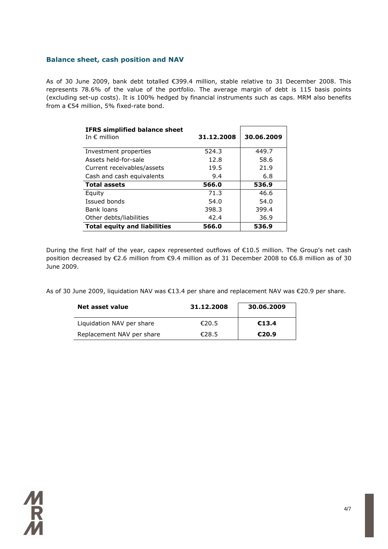### **Balance sheet, cash position and NAV**

As of 30 June 2009, bank debt totalled €399.4 million, stable relative to 31 December 2008. This represents 78.6% of the value of the portfolio. The average margin of debt is 115 basis points (excluding set-up costs). It is 100% hedged by financial instruments such as caps. MRM also benefits from a €54 million, 5% fixed-rate bond.

| <b>IFRS simplified balance sheet</b><br>In $\epsilon$ million | 31.12.2008 | 30.06.2009 |
|---------------------------------------------------------------|------------|------------|
| Investment properties                                         | 524.3      | 449.7      |
| Assets held-for-sale                                          | 12.8       | 58.6       |
| Current receivables/assets                                    | 19.5       | 21.9       |
| Cash and cash equivalents                                     | 9.4        | 6.8        |
| <b>Total assets</b>                                           | 566.0      | 536.9      |
| Equity                                                        | 71.3       | 46.6       |
| Issued bonds                                                  | 54.0       | 54.0       |
| Bank loans                                                    | 398.3      | 399.4      |
| Other debts/liabilities                                       | 42.4       | 36.9       |
| <b>Total equity and liabilities</b>                           | 566.0      | 536.9      |

During the first half of the year, capex represented outflows of €10.5 million. The Group's net cash position decreased by €2.6 million from €9.4 million as of 31 December 2008 to €6.8 million as of 30 June 2009.

As of 30 June 2009, liquidation NAV was €13.4 per share and replacement NAV was €20.9 per share.

| Net asset value           | 31.12.2008 | 30.06.2009 |
|---------------------------|------------|------------|
| Liquidation NAV per share | €20.5      | €13.4      |
| Replacement NAV per share | €28.5      | €20.9      |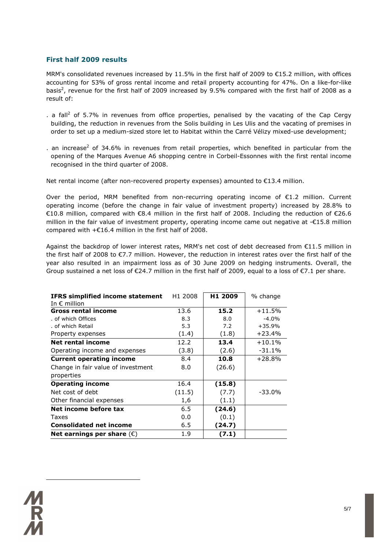# **First half 2009 results**

MRM's consolidated revenues increased by 11.5% in the first half of 2009 to €15.2 million, with offices accounting for 53% of gross rental income and retail property accounting for 47%. On a like-for-like basis<sup>2</sup>, revenue for the first half of 2009 increased by 9.5% compared with the first half of 2008 as a result of:

- . a fall<sup>2</sup> of 5.7% in revenues from office properties, penalised by the vacating of the Cap Cergy building, the reduction in revenues from the Solis building in Les Ulis and the vacating of premises in order to set up a medium-sized store let to Habitat within the Carré Vélizy mixed-use development;
- . an increase<sup>2</sup> of 34.6% in revenues from retail properties, which benefited in particular from the opening of the Marques Avenue A6 shopping centre in Corbeil-Essonnes with the first rental income recognised in the third quarter of 2008.

Net rental income (after non-recovered property expenses) amounted to €13.4 million.

Over the period, MRM benefited from non-recurring operating income of €1.2 million. Current operating income (before the change in fair value of investment property) increased by 28.8% to €10.8 million, compared with €8.4 million in the first half of 2008. Including the reduction of €26.6 million in the fair value of investment property, operating income came out negative at -€15.8 million compared with +€16.4 million in the first half of 2008.

Against the backdrop of lower interest rates, MRM's net cost of debt decreased from  $E11.5$  million in the first half of 2008 to €7.7 million. However, the reduction in interest rates over the first half of the year also resulted in an impairment loss as of 30 June 2009 on hedging instruments. Overall, the Group sustained a net loss of €24.7 million in the first half of 2009, equal to a loss of €7.1 per share.

| <b>IFRS simplified income statement</b><br>In $\epsilon$ million | H <sub>1</sub> 2008 | H1 2009 | % change |
|------------------------------------------------------------------|---------------------|---------|----------|
| <b>Gross rental income</b>                                       | 13.6                | 15.2    | $+11.5%$ |
| . of which Offices                                               | 8.3                 | 8.0     | $-4.0%$  |
| of which Retail                                                  | 5.3                 | 7.2     | $+35.9%$ |
| Property expenses                                                | (1.4)               | (1.8)   | $+23.4%$ |
| Net rental income                                                | 12.2                | 13.4    | $+10.1%$ |
| Operating income and expenses                                    | (3.8)               | (2.6)   | $-31.1%$ |
| <b>Current operating income</b>                                  | 8.4                 | 10.8    | $+28.8%$ |
| Change in fair value of investment                               | 8.0                 | (26.6)  |          |
| properties                                                       |                     |         |          |
| <b>Operating income</b>                                          | 16.4                | (15.8)  |          |
| Net cost of debt                                                 | (11.5)              | (7.7)   | $-33.0%$ |
| Other financial expenses                                         | 1,6                 | (1.1)   |          |
| Net income before tax                                            | 6.5                 | (24.6)  |          |
| <b>Taxes</b>                                                     | 0.0                 | (0.1)   |          |
| <b>Consolidated net income</b>                                   | 6.5                 | (24.7)  |          |
| Net earnings per share $(\epsilon)$                              | 1.9                 | (7.1)   |          |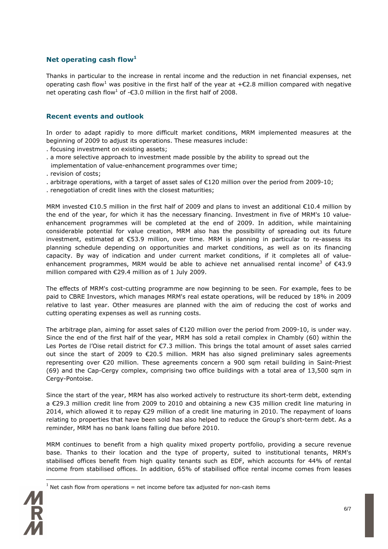## **Net operating cash flow<sup>1</sup>**

Thanks in particular to the increase in rental income and the reduction in net financial expenses, net operating cash flow<sup>1</sup> was positive in the first half of the year at +€2.8 million compared with negative net operating cash flow<sup>1</sup> of -€3.0 million in the first half of 2008.

### **Recent events and outlook**

In order to adapt rapidly to more difficult market conditions, MRM implemented measures at the beginning of 2009 to adjust its operations. These measures include:

- . focusing investment on existing assets;
- . a more selective approach to investment made possible by the ability to spread out the implementation of value-enhancement programmes over time;
- . revision of costs;
- . arbitrage operations, with a target of asset sales of €120 million over the period from 2009-10;
- . renegotiation of credit lines with the closest maturities;

MRM invested €10.5 million in the first half of 2009 and plans to invest an additional €10.4 million by the end of the year, for which it has the necessary financing. Investment in five of MRM's 10 valueenhancement programmes will be completed at the end of 2009. In addition, while maintaining considerable potential for value creation, MRM also has the possibility of spreading out its future investment, estimated at €53.9 million, over time. MRM is planning in particular to re-assess its planning schedule depending on opportunities and market conditions, as well as on its financing capacity. By way of indication and under current market conditions, if it completes all of valueenhancement programmes, MRM would be able to achieve net annualised rental income<sup>3</sup> of  $\epsilon$ 43.9 million compared with €29.4 million as of 1 July 2009.

The effects of MRM's cost-cutting programme are now beginning to be seen. For example, fees to be paid to CBRE Investors, which manages MRM's real estate operations, will be reduced by 18% in 2009 relative to last year. Other measures are planned with the aim of reducing the cost of works and cutting operating expenses as well as running costs.

The arbitrage plan, aiming for asset sales of  $\epsilon$ 120 million over the period from 2009-10, is under way. Since the end of the first half of the year, MRM has sold a retail complex in Chambly (60) within the Les Portes de l'Oise retail district for €7.3 million. This brings the total amount of asset sales carried out since the start of 2009 to €20.5 million. MRM has also signed preliminary sales agreements representing over €20 million. These agreements concern a 900 sqm retail building in Saint-Priest (69) and the Cap-Cergy complex, comprising two office buildings with a total area of 13,500 sqm in Cergy-Pontoise.

Since the start of the year, MRM has also worked actively to restructure its short-term debt, extending a €29.3 million credit line from 2009 to 2010 and obtaining a new €35 million credit line maturing in 2014, which allowed it to repay €29 million of a credit line maturing in 2010. The repayment of loans relating to properties that have been sold has also helped to reduce the Group's short-term debt. As a reminder, MRM has no bank loans falling due before 2010.

MRM continues to benefit from a high quality mixed property portfolio, providing a secure revenue base. Thanks to their location and the type of property, suited to institutional tenants, MRM's stabilised offices benefit from high quality tenants such as EDF, which accounts for 44% of rental income from stabilised offices. In addition, 65% of stabilised office rental income comes from leases

 $<sup>1</sup>$  Net cash flow from operations = net income before tax adjusted for non-cash items</sup>